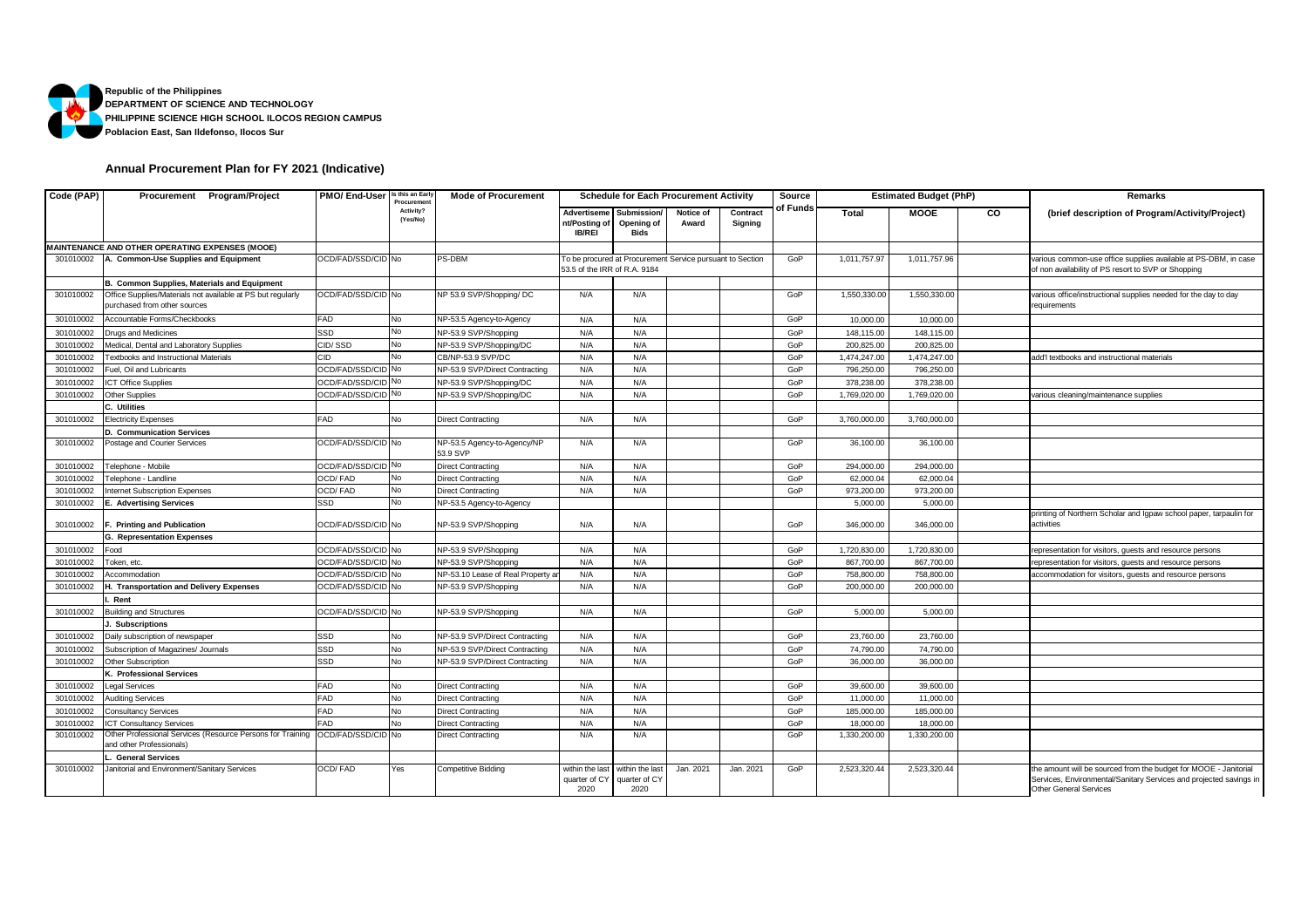

## **Annual Procurement Plan for FY 2021 (Indicative)**

| Code (PAP) | Procurement Program/Project                                                                 | PMO/ End-User      | Is this an Early<br>Procuremen | <b>Mode of Procurement</b>              | <b>Schedule for Each Procurement Activity</b> |                                          |                                                           |                     | Source   |              | <b>Estimated Budget (PhP)</b> |    | Remarks                                                                                                                                                                 |
|------------|---------------------------------------------------------------------------------------------|--------------------|--------------------------------|-----------------------------------------|-----------------------------------------------|------------------------------------------|-----------------------------------------------------------|---------------------|----------|--------------|-------------------------------|----|-------------------------------------------------------------------------------------------------------------------------------------------------------------------------|
|            |                                                                                             |                    | Activity?<br>(Yes/No)          |                                         | Advertiseme<br>nt/Posting of<br><b>IB/REI</b> | Submission<br>Opening of<br><b>Bids</b>  | Notice of<br>Award                                        | Contract<br>Signing | of Funds | <b>Total</b> | <b>MOOE</b>                   | CO | (brief description of Program/Activity/Project)                                                                                                                         |
|            | MAINTENANCE AND OTHER OPERATING EXPENSES (MOOE)                                             |                    |                                |                                         |                                               |                                          |                                                           |                     |          |              |                               |    |                                                                                                                                                                         |
|            | 301010002 A. Common-Use Supplies and Equipment                                              | OCD/FAD/SSD/CID No |                                | PS-DBM                                  | 53.5 of the IRR of R.A. 9184                  |                                          | To be procured at Procurement Service pursuant to Section |                     | GoP      | 1,011,757.97 | 1,011,757.96                  |    | various common-use office supplies available at PS-DBM, in case<br>of non availability of PS resort to SVP or Shopping                                                  |
|            | <b>B. Common Supplies, Materials and Equipment</b>                                          |                    |                                |                                         |                                               |                                          |                                                           |                     |          |              |                               |    |                                                                                                                                                                         |
| 301010002  | Office Supplies/Materials not available at PS but regularly<br>purchased from other sources | OCD/FAD/SSD/CID No |                                | NP 53.9 SVP/Shopping/ DC                | N/A                                           | N/A                                      |                                                           |                     | GoP      | 1,550,330.00 | 1,550,330.00                  |    | various office/instructional supplies needed for the day to day<br>requirements                                                                                         |
| 301010002  | Accountable Forms/Checkbooks                                                                | FAD                | No                             | NP-53.5 Agency-to-Agency                | N/A                                           | N/A                                      |                                                           |                     | GoP      | 10,000.00    | 10,000.00                     |    |                                                                                                                                                                         |
| 301010002  | Drugs and Medicines                                                                         | SSD                | No                             | NP-53.9 SVP/Shopping                    | N/A                                           | N/A                                      |                                                           |                     | GoP      | 148,115.00   | 148,115.00                    |    |                                                                                                                                                                         |
| 301010002  | Medical, Dental and Laboratory Supplies                                                     | CID/SSD            | No                             | NP-53.9 SVP/Shopping/DC                 | N/A                                           | N/A                                      |                                                           |                     | GoP      | 200,825.00   | 200,825.00                    |    |                                                                                                                                                                         |
| 301010002  | <b>Textbooks and Instructional Materials</b>                                                | <b>CID</b>         | No                             | CB/NP-53.9 SVP/DC                       | N/A                                           | N/A                                      |                                                           |                     | GoP      | 1,474,247.00 | 1,474,247.00                  |    | add'l textbooks and instructional materials                                                                                                                             |
| 301010002  | Fuel, Oil and Lubricants                                                                    | OCD/FAD/SSD/CID No |                                | NP-53.9 SVP/Direct Contracting          | N/A                                           | N/A                                      |                                                           |                     | GoP      | 796,250.00   | 796,250.00                    |    |                                                                                                                                                                         |
| 301010002  | <b>ICT Office Supplies</b>                                                                  | OCD/FAD/SSD/CID    | No                             | NP-53.9 SVP/Shopping/DC                 | N/A                                           | N/A                                      |                                                           |                     | GoP      | 378,238.00   | 378,238.00                    |    |                                                                                                                                                                         |
| 301010002  | Other Supplies                                                                              | OCD/FAD/SSD/CID No |                                | NP-53.9 SVP/Shopping/DC                 | N/A                                           | N/A                                      |                                                           |                     | GoP      | 1,769,020.00 | 1,769,020.00                  |    | various cleaning/maintenance supplies                                                                                                                                   |
|            | C. Utilities                                                                                |                    |                                |                                         |                                               |                                          |                                                           |                     |          |              |                               |    |                                                                                                                                                                         |
| 301010002  | <b>Electricity Expenses</b>                                                                 | FAD                | No                             | <b>Direct Contracting</b>               | N/A                                           | N/A                                      |                                                           |                     | GoP      | 3,760,000.00 | 3,760,000.00                  |    |                                                                                                                                                                         |
|            | D. Communication Services                                                                   |                    |                                |                                         |                                               |                                          |                                                           |                     |          |              |                               |    |                                                                                                                                                                         |
| 301010002  | Postage and Courier Services                                                                | OCD/FAD/SSD/CID No |                                | NP-53.5 Agency-to-Agency/NP<br>53.9 SVP | N/A                                           | N/A                                      |                                                           |                     | GoP      | 36,100.00    | 36,100.00                     |    |                                                                                                                                                                         |
| 301010002  | Felephone - Mobile                                                                          | OCD/FAD/SSD/CID No |                                | <b>Direct Contracting</b>               | N/A                                           | N/A                                      |                                                           |                     | GoP      | 294,000.00   | 294,000.00                    |    |                                                                                                                                                                         |
| 301010002  | Felephone - Landline                                                                        | OCD/FAD            | No                             | <b>Direct Contracting</b>               | N/A                                           | N/A                                      |                                                           |                     | GoP      | 62,000.04    | 62,000.04                     |    |                                                                                                                                                                         |
| 301010002  | nternet Subscription Expenses                                                               | OCD/FAD            | No                             | <b>Direct Contracting</b>               | N/A                                           | N/A                                      |                                                           |                     | GoP      | 973,200.00   | 973,200.00                    |    |                                                                                                                                                                         |
| 301010002  | <b>E. Advertising Services</b>                                                              | SSD                | No                             | NP-53.5 Agency-to-Agency                |                                               |                                          |                                                           |                     |          | 5,000.00     | 5,000.00                      |    |                                                                                                                                                                         |
| 301010002  | F. Printing and Publication                                                                 | OCD/FAD/SSD/CID No |                                | NP-53.9 SVP/Shopping                    | N/A                                           | N/A                                      |                                                           |                     | GoP      | 346,000.00   | 346,000.00                    |    | printing of Northern Scholar and Igpaw school paper, tarpaulin for<br>activities                                                                                        |
|            | <b>G. Representation Expenses</b>                                                           |                    |                                |                                         |                                               |                                          |                                                           |                     |          |              |                               |    |                                                                                                                                                                         |
| 301010002  | Food                                                                                        | OCD/FAD/SSD/CID No |                                | NP-53.9 SVP/Shopping                    | N/A                                           | N/A                                      |                                                           |                     | GoP      | 1,720,830.00 | 1,720,830.00                  |    | epresentation for visitors, guests and resource persons                                                                                                                 |
| 301010002  | Token, etc.                                                                                 | OCD/FAD/SSD/CID No |                                | NP-53.9 SVP/Shopping                    | N/A                                           | N/A                                      |                                                           |                     | GoP      | 867,700.00   | 867,700.00                    |    | epresentation for visitors, guests and resource persons                                                                                                                 |
| 301010002  | Accommodation                                                                               | OCD/FAD/SSD/CID No |                                | NP-53.10 Lease of Real Property a       | N/A                                           | N/A                                      |                                                           |                     | GoP      | 758,800.00   | 758,800.00                    |    | accommodation for visitors, guests and resource persons                                                                                                                 |
| 301010002  | H. Transportation and Delivery Expenses                                                     | OCD/FAD/SSD/CID No |                                | NP-53.9 SVP/Shopping                    | N/A                                           | N/A                                      |                                                           |                     | GoP      | 200,000.00   | 200,000.00                    |    |                                                                                                                                                                         |
|            | Rent                                                                                        |                    |                                |                                         |                                               |                                          |                                                           |                     |          |              |                               |    |                                                                                                                                                                         |
| 301010002  | <b>Building and Structures</b>                                                              | OCD/FAD/SSD/CID No |                                | NP-53.9 SVP/Shopping                    | N/A                                           | N/A                                      |                                                           |                     | GoP      | 5,000.00     | 5,000.00                      |    |                                                                                                                                                                         |
|            | J. Subscriptions                                                                            |                    |                                |                                         |                                               |                                          |                                                           |                     |          |              |                               |    |                                                                                                                                                                         |
| 301010002  | Daily subscription of newspaper                                                             | SSD                | No                             | NP-53.9 SVP/Direct Contracting          | N/A                                           | N/A                                      |                                                           |                     | GoP      | 23,760.00    | 23,760.00                     |    |                                                                                                                                                                         |
| 301010002  | Subscription of Magazines/ Journals                                                         | SSD                | No                             | NP-53.9 SVP/Direct Contracting          | N/A                                           | N/A                                      |                                                           |                     | GoP      | 74,790.00    | 74,790.00                     |    |                                                                                                                                                                         |
| 301010002  | <b>Other Subscription</b>                                                                   | SSD                | No                             | NP-53.9 SVP/Direct Contracting          | N/A                                           | N/A                                      |                                                           |                     | GoP      | 36,000.00    | 36,000.00                     |    |                                                                                                                                                                         |
|            | K. Professional Services                                                                    |                    |                                |                                         |                                               |                                          |                                                           |                     |          |              |                               |    |                                                                                                                                                                         |
| 301010002  | Legal Services                                                                              | FAD                | No                             | <b>Direct Contracting</b>               | N/A                                           | N/A                                      |                                                           |                     | GoP      | 39,600.00    | 39,600.00                     |    |                                                                                                                                                                         |
| 301010002  | <b>Auditing Services</b>                                                                    | FAD                | No                             | <b>Direct Contracting</b>               | N/A                                           | N/A                                      |                                                           |                     | GoP      | 11,000.00    | 11,000.00                     |    |                                                                                                                                                                         |
| 301010002  | <b>Consultancy Services</b>                                                                 | FAD                | No                             | <b>Direct Contracting</b>               | N/A                                           | N/A                                      |                                                           |                     | GoP      | 185,000.00   | 185,000.00                    |    |                                                                                                                                                                         |
| 301010002  | <b>ICT Consultancy Services</b>                                                             | FAD                | N <sub>o</sub>                 | <b>Direct Contracting</b>               | N/A                                           | N/A                                      |                                                           |                     | GoP      | 18,000.00    | 18,000.00                     |    |                                                                                                                                                                         |
| 301010002  | Other Professional Services (Resource Persons for Training                                  | OCD/FAD/SSD/CID No |                                | <b>Direct Contracting</b>               | N/A                                           | N/A                                      |                                                           |                     | GoP      | 1,330,200.00 | 1,330,200.00                  |    |                                                                                                                                                                         |
|            | and other Professionals)                                                                    |                    |                                |                                         |                                               |                                          |                                                           |                     |          |              |                               |    |                                                                                                                                                                         |
|            | <b>General Services</b>                                                                     |                    |                                |                                         |                                               |                                          |                                                           |                     |          |              |                               |    |                                                                                                                                                                         |
| 301010002  | Janitorial and Environment/Sanitary Services                                                | OCD/FAD            | Yes                            | <b>Competitive Bidding</b>              | within the last<br>quarter of CY<br>2020      | within the last<br>quarter of CY<br>2020 | Jan. 2021                                                 | Jan. 2021           | GoP      | 2,523,320.44 | 2,523,320.44                  |    | the amount will be sourced from the budget for MOOE - Janitorial<br>Services, Environmental/Sanitary Services and projected savings in<br><b>Other General Services</b> |